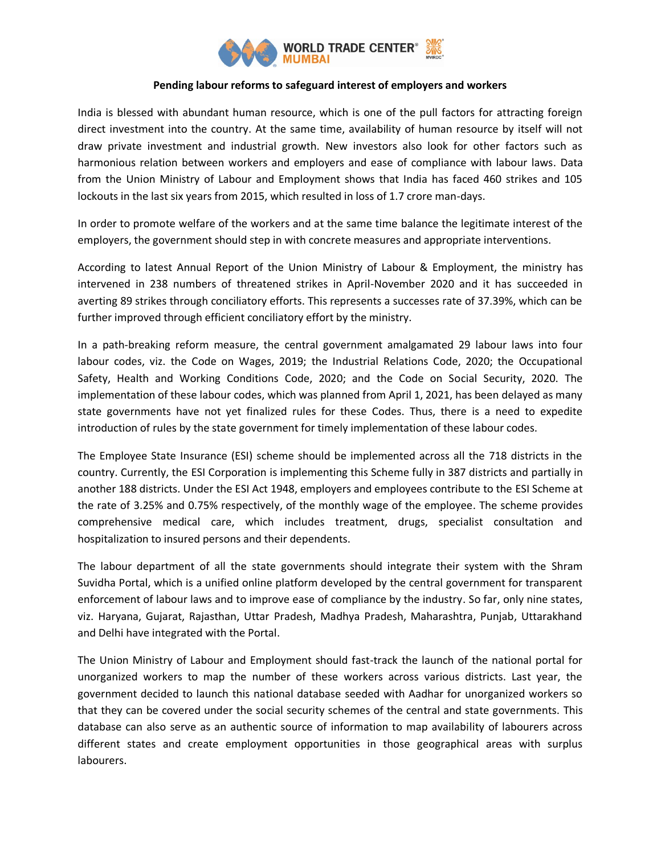

## **Pending labour reforms to safeguard interest of employers and workers**

India is blessed with abundant human resource, which is one of the pull factors for attracting foreign direct investment into the country. At the same time, availability of human resource by itself will not draw private investment and industrial growth. New investors also look for other factors such as harmonious relation between workers and employers and ease of compliance with labour laws. Data from the Union Ministry of Labour and Employment shows that India has faced 460 strikes and 105 lockouts in the last six years from 2015, which resulted in loss of 1.7 crore man-days.

In order to promote welfare of the workers and at the same time balance the legitimate interest of the employers, the government should step in with concrete measures and appropriate interventions.

According to latest Annual Report of the Union Ministry of Labour & Employment, the ministry has intervened in 238 numbers of threatened strikes in April-November 2020 and it has succeeded in averting 89 strikes through conciliatory efforts. This represents a successes rate of 37.39%, which can be further improved through efficient conciliatory effort by the ministry.

In a path-breaking reform measure, the central government amalgamated 29 labour laws into four labour codes, viz. the Code on Wages, 2019; the Industrial Relations Code, 2020; the Occupational Safety, Health and Working Conditions Code, 2020; and the Code on Social Security, 2020. The implementation of these labour codes, which was planned from April 1, 2021, has been delayed as many state governments have not yet finalized rules for these Codes. Thus, there is a need to expedite introduction of rules by the state government for timely implementation of these labour codes.

The Employee State Insurance (ESI) scheme should be implemented across all the 718 districts in the country. Currently, the ESI Corporation is implementing this Scheme fully in 387 districts and partially in another 188 districts. Under the ESI Act 1948, employers and employees contribute to the ESI Scheme at the rate of 3.25% and 0.75% respectively, of the monthly wage of the employee. The scheme provides comprehensive medical care, which includes treatment, drugs, specialist consultation and hospitalization to insured persons and their dependents.

The labour department of all the state governments should integrate their system with the Shram Suvidha Portal, which is a unified online platform developed by the central government for transparent enforcement of labour laws and to improve ease of compliance by the industry. So far, only nine states, viz. Haryana, Gujarat, Rajasthan, Uttar Pradesh, Madhya Pradesh, Maharashtra, Punjab, Uttarakhand and Delhi have integrated with the Portal.

The Union Ministry of Labour and Employment should fast-track the launch of the national portal for unorganized workers to map the number of these workers across various districts. Last year, the government decided to launch this national database seeded with Aadhar for unorganized workers so that they can be covered under the social security schemes of the central and state governments. This database can also serve as an authentic source of information to map availability of labourers across different states and create employment opportunities in those geographical areas with surplus labourers.